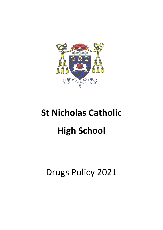

# **St Nicholas Catholic High School**

# Drugs Policy 2021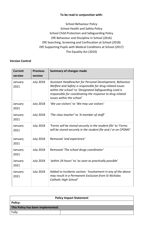# **To be read in conjunction with:**

School Behaviour Policy School Health and Safety Policy School Child Protection and Safeguarding Policy DfE Behaviour and Discipline in School (2016) DfE Searching, Screening and Confiscation at School (2018) DfE Supporting Pupils with Medical Conditions at School (2017) The Equality Act (2010)

# **Version Control**

| <b>Current</b><br>version | <b>Previous</b><br>version | <b>Summary of changes made</b>                                                                                                                                                                                                                                             |
|---------------------------|----------------------------|----------------------------------------------------------------------------------------------------------------------------------------------------------------------------------------------------------------------------------------------------------------------------|
| January<br>2021           | <b>July 2018</b>           | Assistant Headteacher for Personal Development, Behaviour<br>Welfare and Safety is responsible for drug related issues<br>within the school' to 'Designated Safeguarding Lead is<br>responsible for coordinating the response to drug related<br>issues within the school' |
| January<br>2021           | <b>July 2018</b>           | 'We use visitors' to 'We may use visitors'                                                                                                                                                                                                                                 |
| January<br>2021           | <b>July 2018</b>           | 'The class teacher' to 'A member of staff'                                                                                                                                                                                                                                 |
| January<br>2021           | <b>July 2018</b>           | 'Forms will be stored securely in the student file' to 'Forms<br>will be stored securely in the student file and / or on CPOMS'                                                                                                                                            |
| January<br>2021           | <b>July 2018</b>           | Removed 'and experience'                                                                                                                                                                                                                                                   |
| January<br>2021           | <b>July 2018</b>           | Removed 'The school drugs coordinator'                                                                                                                                                                                                                                     |
| January<br>2021           | <b>July 2018</b>           | 'within 24 hours' to 'as soon as practically possible'                                                                                                                                                                                                                     |
| January<br>2021           | <b>July 2018</b>           | Added to Incidents section: 'Involvement in any of the above<br>may result in a Permanent Exclusion from St Nicholas<br>Catholic High School'                                                                                                                              |

| <b>Policy Impact Statement</b>    |  |  |  |  |
|-----------------------------------|--|--|--|--|
| Policy:                           |  |  |  |  |
| This Policy has been implemented: |  |  |  |  |
| Fully                             |  |  |  |  |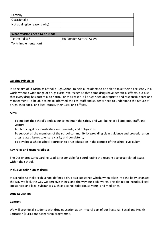| Partially                       |                           |  |  |  |
|---------------------------------|---------------------------|--|--|--|
| Occasionally                    |                           |  |  |  |
| Not at all (give reasons why)   |                           |  |  |  |
|                                 |                           |  |  |  |
| What revisions need to be made: |                           |  |  |  |
| To the Policy?                  | See Version Control Above |  |  |  |
| To its implementation?          |                           |  |  |  |

# **Guiding Principles**

It is the aim of St Nicholas Catholic High School to help all students to be able to take their place safely in a world where a wide range of drugs exists. We recognise that some drugs have beneficial effects, but also that every drug has potential to harm. For this reason, all drugs need appropriate and responsible care and management. To be able to make informed choices, staff and students need to understand the nature of drugs, their social and legal status, their uses, and effects.

#### **Aims:**

To support the school's endeavour to maintain the safety and well-being of all students, staff, and visitors

To clarify legal responsibilities, entitlements, and obligations

To support all the members of the school community by providing clear guidance and procedures on drug related issues to ensure clarity and consistency

To develop a whole school approach to drug education in the context of the school curriculum

#### **Key roles and responsibilities**

The Designated Safeguarding Lead is responsible for coordinating the response to drug related issues within the school.

#### **Inclusive definition of drugs**

St Nicholas Catholic High School defines a drug as a substance which, when taken into the body, changes the way we feel, the way we perceive things, and the way our body works. This definition includes illegal substances and legal substances such as alcohol, tobacco, solvents, and medicines.

#### **Drug Education**

# **Context**

We will provide all students with drug education as an integral part of our Personal, Social and Health Education (PSHE) and Citizenship programme.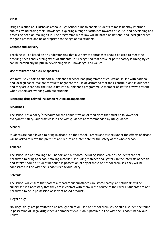#### **Ethos**

Drug education at St Nicholas Catholic High School aims to enable students to make healthy informed choices by increasing their knowledge, exploring a range of attitudes towards drug use, and developing and practising decision-making skills. The programme we follow will be based on national and local guidelines for good practice and be appropriate to the age of our students.

#### **Content and delivery**

Teaching will be based on an understanding that a variety of approaches should be used to meet the differing needs and learning styles of students. It is recognised that active or participatory learning styles can be particularly helpful in developing skills, knowledge, and values.

#### **Use of visitors and outside speakers**

We may use visitors to support our planned teacher lead programme of education, in line with national and local guidance. We are careful to negotiate the use of visitors so that their contribution fits our need, and they are clear how their input fits into our planned programme. A member of staff is always present when visitors are working with our students.

#### **Managing drug related incidents: routine arrangements**

#### **Medicines**

The school has a policy/procedure for the administration of medicines that must be followed for everyone's safety. Our practice is in line with guidance as recommended by DfE guidance.

#### **Alcohol**

Students are not allowed to bring in alcohol on the school. Parents and visitors under the effects of alcohol will be asked to leave the premises and return at a later date for the safety of the whole school.

#### **Tobacco**

The school is a no smoking site - indoors and outdoors, including school vehicles. Students are not permitted to bring to school smoking materials, including matches and lighters. In the interests of health and safety, should a student be found in possession of any of these on school premises, they will be confiscated in line with the School's Behaviour Policy.

#### **Solvents**

The school will ensure that potentially hazardous substances are stored safely, and students will be supervised if it necessary that they are in contact with them in the course of their work. Students are not permitted to be in possession of solvent based products.

# **Illegal drugs**

No illegal drugs are permitted to be brought on to or used on school premises. Should a student be found in possession of illegal drugs then a permanent exclusion is possible in line with the School's Behaviour Policy.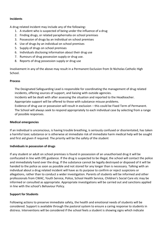# **Incidents**

A drug related incident may include any of the following**:** 

- 1. A student who is suspected of being under the influence of a drug
- 2. Finding drugs, or related paraphernalia on school premises
- 3. Possession of drugs by an individual on school premises
- 4. Use of drugs by an individual on school premises
- 5. Supply of drugs on school premises
- 6. Individuals disclosing information about their drug use
- 7. Rumours of drug possession supply or drug use.
- 8. Reports of drug possession supply or drug use

Involvement in any of the above may result in a Permanent Exclusion from St Nicholas Catholic High School.

#### **Process**

The Designated Safeguarding Lead is responsible for coordinating the management of drug related incidents, offering sources of support, and liaising with outside agencies.

Incidents will be dealt with after assessing the situation and reported to the Headteacher.

Appropriate support will be offered to those with substance misuse problems.

Evidence of drug use or possession will result in exclusion – this could be Fixed Term of Permanent. The School will always seek to respond appropriately to each individual case by selecting from a range of possible responses.

# **Medical emergencies**

If an individual is unconscious, is having trouble breathing, is seriously confused or disorientated, has taken a harmful toxic substance or is otherwise at immediate risk of immediate harm medical help will be sought and first aid given if required. The priority will be the safety of the student

# **Individuals in possession of drugs**

If any student or adult on school premises is found in possession of an unauthorised drug it will be confiscated in line with DfE guidance. If the drug is suspected to be illegal, the school will contact the police and immediately hand over the drug. If the substance cannot be legally destroyed or disposed of it will be handed to the police as soon as possible and not stored for any longer than is necessary. Talking with an individual about a drug related incident will have as its purpose to confirm or reject suspicions or allegations, rather than to conduct a wider investigation. Parents of students will be informed and other professionals from CWAC, Youth Service, Police, School Health Service, Children's Social Care etc may be informed or consulted as appropriate. Appropriate investigations will be carried out and sanctions applied in line with the school's Behaviour Policy.

# **Support for Students**

Following actions to preserve immediate safety, the health and emotional needs of students will be considered. Support is available through the pastoral system to ensure a caring response to students in distress. Interventions will be considered if the school feels a student is showing signs which indicate